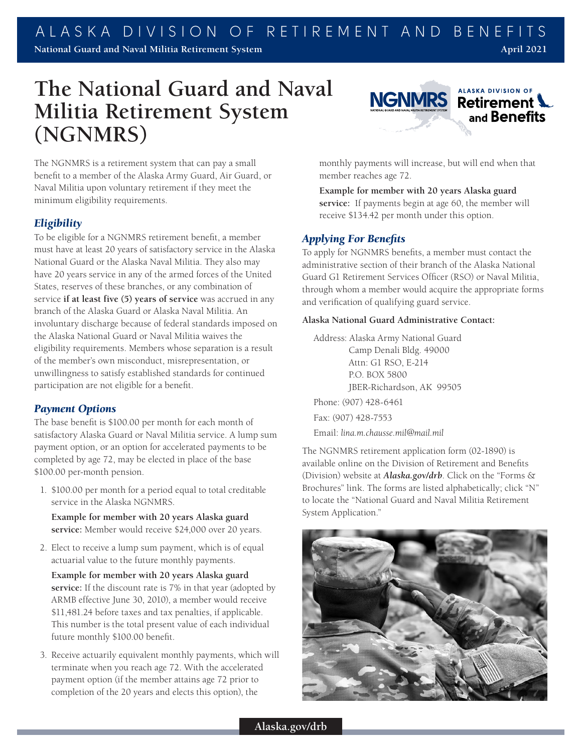# **The National Guard and Naval Militia Retirement System (NGNMRS)**

The NGNMRS is a retirement system that can pay a small benefit to a member of the Alaska Army Guard, Air Guard, or Naval Militia upon voluntary retirement if they meet the minimum eligibility requirements.

## *Eligibility*

To be eligible for a NGNMRS retirement benefit, a member must have at least 20 years of satisfactory service in the Alaska National Guard or the Alaska Naval Militia. They also may have 20 years service in any of the armed forces of the United States, reserves of these branches, or any combination of service **if at least five (5) years of service** was accrued in any branch of the Alaska Guard or Alaska Naval Militia. An involuntary discharge because of federal standards imposed on the Alaska National Guard or Naval Militia waives the eligibility requirements. Members whose separation is a result of the member's own misconduct, misrepresentation, or unwillingness to satisfy established standards for continued participation are not eligible for a benefit.

## *Payment Options*

The base benefit is \$100.00 per month for each month of satisfactory Alaska Guard or Naval Militia service. A lump sum payment option, or an option for accelerated payments to be completed by age 72, may be elected in place of the base \$100.00 per-month pension.

1. \$100.00 per month for a period equal to total creditable service in the Alaska NGNMRS.

**Example for member with 20 years Alaska guard service:** Member would receive \$24,000 over 20 years.

2. Elect to receive a lump sum payment, which is of equal actuarial value to the future monthly payments.

**Example for member with 20 years Alaska guard service:** If the discount rate is 7% in that year (adopted by ARMB effective June 30, 2010), a member would receive \$11,481.24 before taxes and tax penalties, if applicable. This number is the total present value of each individual future monthly \$100.00 benefit.

3. Receive actuarily equivalent monthly payments, which will terminate when you reach age 72. With the accelerated payment option (if the member attains age 72 prior to completion of the 20 years and elects this option), the



monthly payments will increase, but will end when that member reaches age 72.

**Example for member with 20 years Alaska guard service:** If payments begin at age 60, the member will receive \$134.42 per month under this option.

## *Applying For Benefits*

To apply for NGNMRS benefits, a member must contact the administrative section of their branch of the Alaska National Guard G1 Retirement Services Officer (RSO) or Naval Militia, through whom a member would acquire the appropriate forms and verification of qualifying guard service.

#### **Alaska National Guard Administrative Contact:**

Address: Alaska Army National Guard Camp Denali Bldg. 49000 Attn: G1 RSO, E-214 P.O. BOX 5800 JBER-Richardson, AK 99505 Phone: (907) 428-6461 Fax: (907) 428-7553

Email: *lina.m.chausse.mil@mail.mil*

The NGNMRS retirement application form (02-1890) is available online on the Division of Retirement and Benefits (Division) website at *Alaska.gov/drb*. Click on the "Forms & Brochures" link. The forms are listed alphabetically; click "N" to locate the "National Guard and Naval Militia Retirement System Application."